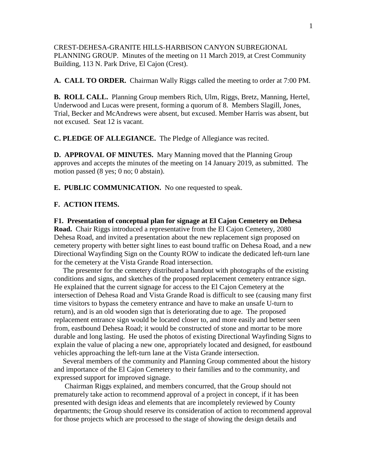CREST-DEHESA-GRANITE HILLS-HARBISON CANYON SUBREGIONAL PLANNING GROUP. Minutes of the meeting on 11 March 2019, at Crest Community Building, 113 N. Park Drive, El Cajon (Crest).

**A. CALL TO ORDER.** Chairman Wally Riggs called the meeting to order at 7:00 PM.

**B. ROLL CALL.** Planning Group members Rich, Ulm, Riggs, Bretz, Manning, Hertel, Underwood and Lucas were present, forming a quorum of 8. Members Slagill, Jones, Trial, Becker and McAndrews were absent, but excused. Member Harris was absent, but not excused. Seat 12 is vacant.

**C. PLEDGE OF ALLEGIANCE.** The Pledge of Allegiance was recited.

**D. APPROVAL OF MINUTES.** Mary Manning moved that the Planning Group approves and accepts the minutes of the meeting on 14 January 2019, as submitted. The motion passed (8 yes; 0 no; 0 abstain).

**E. PUBLIC COMMUNICATION.** No one requested to speak.

## **F. ACTION ITEMS.**

**F1. Presentation of conceptual plan for signage at El Cajon Cemetery on Dehesa Road.** Chair Riggs introduced a representative from the El Cajon Cemetery, 2080 Dehesa Road, and invited a presentation about the new replacement sign proposed on cemetery property with better sight lines to east bound traffic on Dehesa Road, and a new Directional Wayfinding Sign on the County ROW to indicate the dedicated left-turn lane for the cemetery at the Vista Grande Road intersection.

 The presenter for the cemetery distributed a handout with photographs of the existing conditions and signs, and sketches of the proposed replacement cemetery entrance sign. He explained that the current signage for access to the El Cajon Cemetery at the intersection of Dehesa Road and Vista Grande Road is difficult to see (causing many first time visitors to bypass the cemetery entrance and have to make an unsafe U-turn to return), and is an old wooden sign that is deteriorating due to age. The proposed replacement entrance sign would be located closer to, and more easily and better seen from, eastbound Dehesa Road; it would be constructed of stone and mortar to be more durable and long lasting. He used the photos of existing Directional Wayfinding Signs to explain the value of placing a new one, appropriately located and designed, for eastbound vehicles approaching the left-turn lane at the Vista Grande intersection.

 Several members of the community and Planning Group commented about the history and importance of the El Cajon Cemetery to their families and to the community, and expressed support for improved signage.

 Chairman Riggs explained, and members concurred, that the Group should not prematurely take action to recommend approval of a project in concept, if it has been presented with design ideas and elements that are incompletely reviewed by County departments; the Group should reserve its consideration of action to recommend approval for those projects which are processed to the stage of showing the design details and